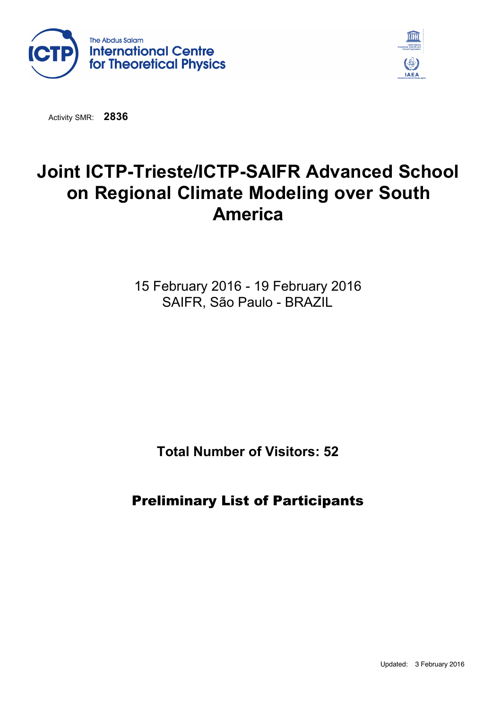



Activity SMR: **2836**

## **Joint ICTP-Trieste/ICTP-SAIFR Advanced School on Regional Climate Modeling over South America**

15 February 2016 - 19 February 2016 SAIFR, São Paulo - BRAZIL

**Total Number of Visitors: 52**

Preliminary List of Participants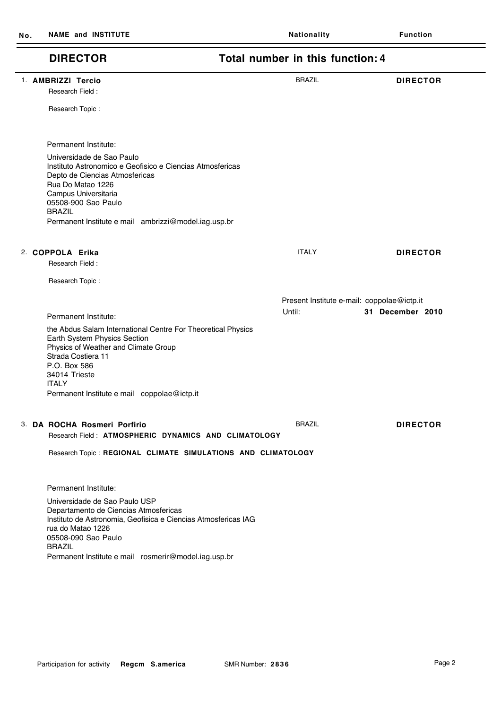## **DIRECTOR Total number in this function: 4**

| 1. AMBRIZZI Tercio                                                                                                                                                    | <b>BRAZIL</b>                              | <b>DIRECTOR</b>  |
|-----------------------------------------------------------------------------------------------------------------------------------------------------------------------|--------------------------------------------|------------------|
| Research Field:                                                                                                                                                       |                                            |                  |
|                                                                                                                                                                       |                                            |                  |
| Research Topic:                                                                                                                                                       |                                            |                  |
|                                                                                                                                                                       |                                            |                  |
|                                                                                                                                                                       |                                            |                  |
| Permanent Institute:                                                                                                                                                  |                                            |                  |
| Universidade de Sao Paulo<br>Instituto Astronomico e Geofisico e Ciencias Atmosfericas<br>Depto de Ciencias Atmosfericas<br>Rua Do Matao 1226<br>Campus Universitaria |                                            |                  |
| 05508-900 Sao Paulo                                                                                                                                                   |                                            |                  |
| <b>BRAZIL</b>                                                                                                                                                         |                                            |                  |
| Permanent Institute e mail ambrizzi@model.iag.usp.br                                                                                                                  |                                            |                  |
|                                                                                                                                                                       |                                            |                  |
| 2. COPPOLA Erika                                                                                                                                                      | <b>ITALY</b>                               | <b>DIRECTOR</b>  |
| Research Field:                                                                                                                                                       |                                            |                  |
| Research Topic:                                                                                                                                                       |                                            |                  |
|                                                                                                                                                                       |                                            |                  |
|                                                                                                                                                                       | Present Institute e-mail: coppolae@ictp.it |                  |
| Permanent Institute:                                                                                                                                                  | Until:                                     | 31 December 2010 |
|                                                                                                                                                                       |                                            |                  |
|                                                                                                                                                                       |                                            |                  |
| the Abdus Salam International Centre For Theoretical Physics<br>Earth System Physics Section                                                                          |                                            |                  |
| Physics of Weather and Climate Group                                                                                                                                  |                                            |                  |
| Strada Costiera 11                                                                                                                                                    |                                            |                  |
| P.O. Box 586                                                                                                                                                          |                                            |                  |
| 34014 Trieste<br><b>ITALY</b>                                                                                                                                         |                                            |                  |
| Permanent Institute e mail coppolae@ictp.it                                                                                                                           |                                            |                  |
|                                                                                                                                                                       |                                            |                  |
| 3. DA ROCHA Rosmeri Porfirio                                                                                                                                          | <b>BRAZIL</b>                              | <b>DIRECTOR</b>  |
| Research Field: ATMOSPHERIC DYNAMICS AND CLIMATOLOGY                                                                                                                  |                                            |                  |
|                                                                                                                                                                       |                                            |                  |
| Research Topic: REGIONAL CLIMATE SIMULATIONS AND CLIMATOLOGY                                                                                                          |                                            |                  |
|                                                                                                                                                                       |                                            |                  |
| Permanent Institute:                                                                                                                                                  |                                            |                  |
| Universidade de Sao Paulo USP<br>Departamento de Ciencias Atmosfericas                                                                                                |                                            |                  |

Permanent Institute e mail rosmerir@model.iag.usp.br Departamento de Ciencias Atmosfericas Instituto de Astronomia, Geofisica e Ciencias Atmosfericas IAG rua do Matao 1226 05508-090 Sao Paulo BRAZIL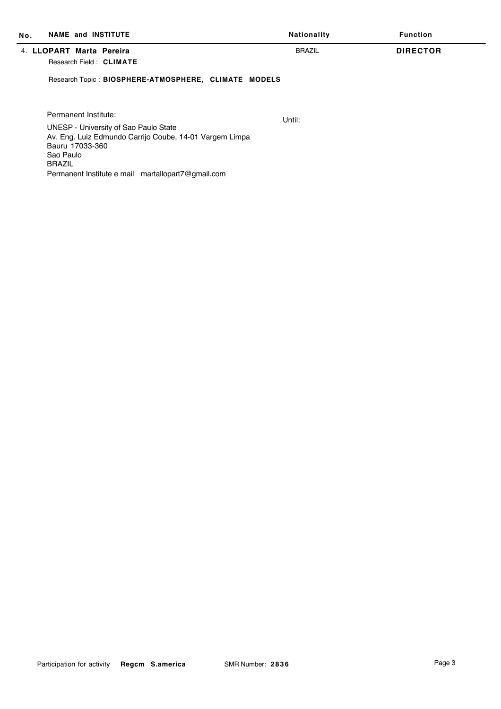| <b>NAME and INSTITUTE</b><br>No.                                                                                                                                                                                                | Nationality   | <b>Function</b> |
|---------------------------------------------------------------------------------------------------------------------------------------------------------------------------------------------------------------------------------|---------------|-----------------|
| 4. LLOPART Marta Pereira<br>Research Field: CLIMATE                                                                                                                                                                             | <b>BRAZIL</b> | <b>DIRECTOR</b> |
| Research Topic: BIOSPHERE-ATMOSPHERE, CLIMATE MODELS                                                                                                                                                                            |               |                 |
| Permanent Institute:<br>UNESP - University of Sao Paulo State<br>Av. Eng. Luiz Edmundo Carrijo Coube, 14-01 Vargem Limpa<br>Bauru 17033-360<br>Sao Paulo<br><b>BRAZIL</b><br>Permanent Institute e mail martallopart7@gmail.com | Until:        |                 |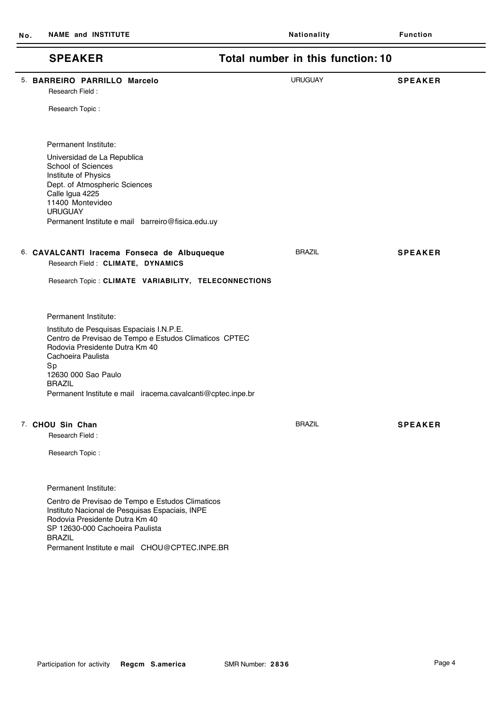## **SPEAKER Total number in this function: 10** 5. **BARREIRO PARRILLO Marcelo** URUGUAY **SPEAKER** Research Field : Research Topic : Permanent Institute e mail barreiro@fisica.edu.uy Universidad de La Republica School of Sciences Institute of Physics Dept. of Atmospheric Sciences Calle Igua 4225 11400 Montevideo **URUGUAY** Permanent Institute: 6. **CAVALCANTI Iracema Fonseca de Albuqueque** BRAZIL **SPEAKER** Research Field : **CLIMATE, DYNAMICS** Research Topic : **CLIMATE VARIABILITY, TELECONNECTIONS** Permanent Institute e mail iracema.cavalcanti@cptec.inpe.br Instituto de Pesquisas Espaciais I.N.P.E. Centro de Previsao de Tempo e Estudos Climaticos CPTEC Rodovia Presidente Dutra Km 40 Cachoeira Paulista Sp 12630 000 Sao Paulo BRAZIL Permanent Institute: 7. **CHOU Sin Chan** BRAZIL **SPEAKER** Research Field : Research Topic : Centro de Previsao de Tempo e Estudos Climaticos Instituto Nacional de Pesquisas Espaciais, INPE Rodovia Presidente Dutra Km 40 SP 12630-000 Cachoeira Paulista BRAZIL Permanent Institute:

Permanent Institute e mail CHOU@CPTEC.INPE.BR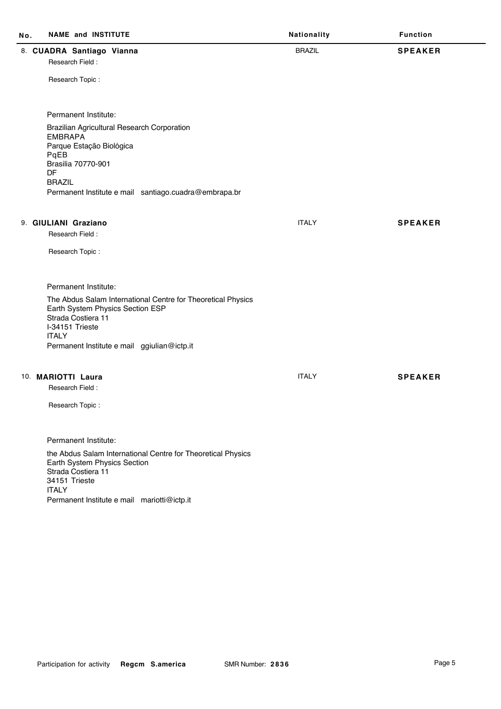| No. | <b>NAME and INSTITUTE</b>                                                                                                                                                                                                              | Nationality   | <b>Function</b> |
|-----|----------------------------------------------------------------------------------------------------------------------------------------------------------------------------------------------------------------------------------------|---------------|-----------------|
|     | 8. CUADRA Santiago Vianna<br>Research Field:<br>Research Topic:                                                                                                                                                                        | <b>BRAZIL</b> | <b>SPEAKER</b>  |
|     | Permanent Institute:<br>Brazilian Agricultural Research Corporation<br><b>EMBRAPA</b><br>Parque Estação Biológica<br>PqEB<br>Brasilia 70770-901<br><b>DF</b><br><b>BRAZIL</b><br>Permanent Institute e mail santiago.cuadra@embrapa.br |               |                 |
|     | 9. GIULIANI Graziano<br>Research Field:                                                                                                                                                                                                | <b>ITALY</b>  | <b>SPEAKER</b>  |
|     | Research Topic:                                                                                                                                                                                                                        |               |                 |
|     | Permanent Institute:<br>The Abdus Salam International Centre for Theoretical Physics<br>Earth System Physics Section ESP<br>Strada Costiera 11<br>I-34151 Trieste<br><b>ITALY</b><br>Permanent Institute e mail ggiulian@ictp.it       |               |                 |
|     | 10. MARIOTTI Laura<br>Research Field:<br>Research Topic:                                                                                                                                                                               | <b>ITALY</b>  | <b>SPEAKER</b>  |
|     | Permanent Institute:<br>the Abdus Salam International Centre for Theoretical Physics<br>Earth System Physics Section<br>Strada Costiera 11<br>34151 Trieste<br><b>ITALY</b><br>Permanent Institute e mail mariotti@ictp.it             |               |                 |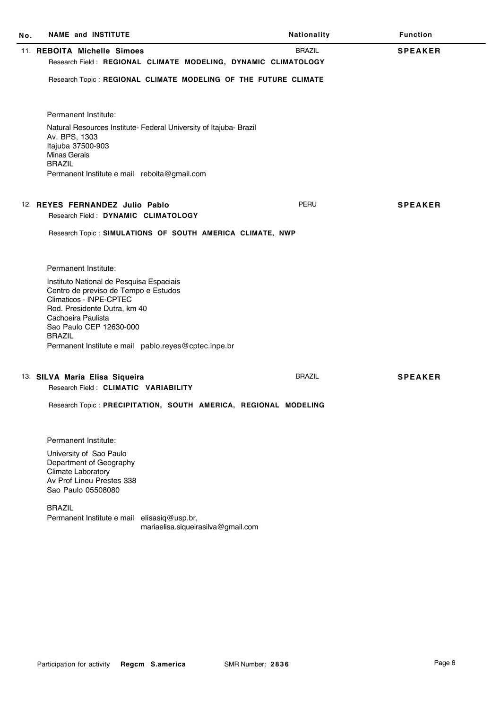| No. | <b>NAME and INSTITUTE</b>                                                                                                                                                                                                                                             | Nationality   | <b>Function</b> |
|-----|-----------------------------------------------------------------------------------------------------------------------------------------------------------------------------------------------------------------------------------------------------------------------|---------------|-----------------|
|     | 11. REBOITA Michelle Simoes<br>Research Field: REGIONAL CLIMATE MODELING, DYNAMIC CLIMATOLOGY                                                                                                                                                                         | <b>BRAZIL</b> | <b>SPEAKER</b>  |
|     | Research Topic: REGIONAL CLIMATE MODELING OF THE FUTURE CLIMATE                                                                                                                                                                                                       |               |                 |
|     | Permanent Institute:                                                                                                                                                                                                                                                  |               |                 |
|     | Natural Resources Institute- Federal University of Itajuba- Brazil<br>Av. BPS, 1303<br>Itajuba 37500-903<br><b>Minas Gerais</b><br><b>BRAZIL</b>                                                                                                                      |               |                 |
|     | Permanent Institute e mail reboita@gmail.com                                                                                                                                                                                                                          |               |                 |
|     | 12. REYES FERNANDEZ Julio Pablo<br>Research Field: DYNAMIC CLIMATOLOGY                                                                                                                                                                                                | PERU          | <b>SPEAKER</b>  |
|     | Research Topic: SIMULATIONS OF SOUTH AMERICA CLIMATE, NWP                                                                                                                                                                                                             |               |                 |
|     |                                                                                                                                                                                                                                                                       |               |                 |
|     | Permanent Institute:                                                                                                                                                                                                                                                  |               |                 |
|     | Instituto National de Pesquisa Espaciais<br>Centro de previso de Tempo e Estudos<br>Climaticos - INPE-CPTEC<br>Rod. Presidente Dutra, km 40<br>Cachoeira Paulista<br>Sao Paulo CEP 12630-000<br><b>BRAZIL</b><br>Permanent Institute e mail pablo.reyes@cptec.inpe.br |               |                 |
|     |                                                                                                                                                                                                                                                                       |               |                 |
|     | 13. SILVA Maria Elisa Siqueira<br>Research Field: CLIMATIC VARIABILITY                                                                                                                                                                                                | <b>BRAZIL</b> | <b>SPEAKER</b>  |
|     | Research Topic: PRECIPITATION, SOUTH AMERICA, REGIONAL MODELING                                                                                                                                                                                                       |               |                 |
|     | Permanent Institute:                                                                                                                                                                                                                                                  |               |                 |
|     | University of Sao Paulo<br>Department of Geography<br>Climate Laboratory<br>Av Prof Lineu Prestes 338<br>Sao Paulo 05508080                                                                                                                                           |               |                 |
|     | <b>BRAZIL</b><br>Permanent Institute e mail elisasiq@usp.br,<br>mariaelisa.siqueirasilva@gmail.com                                                                                                                                                                    |               |                 |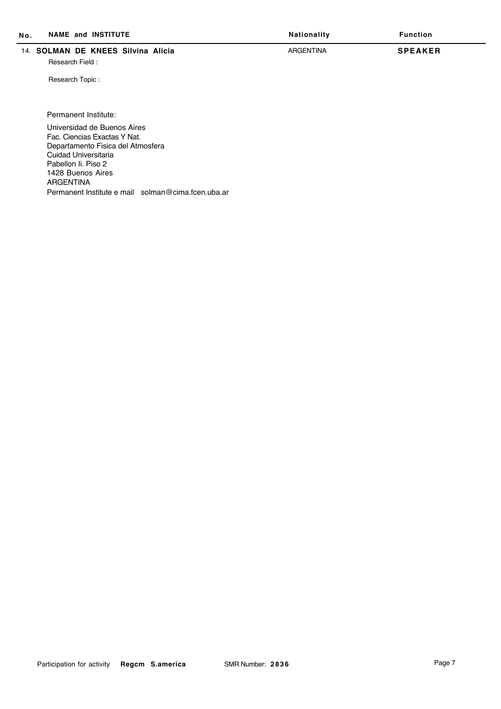| No. | <b>NAME and INSTITUTE</b>                                                | Nationality | <b>Function</b> |
|-----|--------------------------------------------------------------------------|-------------|-----------------|
|     | 14. SOLMAN DE KNEES Silvina Alicia<br>Research Field:<br>Research Topic: | ARGENTINA   | <b>SPEAKER</b>  |

Permanent Institute:

Permanent Institute e mail solman@cima.fcen.uba.ar Universidad de Buenos Aires Fac. Ciencias Exactas Y Nat. Departamento Fisica del Atmosfera Cuidad Universitaria Pabellon Ii. Piso 2 1428 Buenos Aires ARGENTINA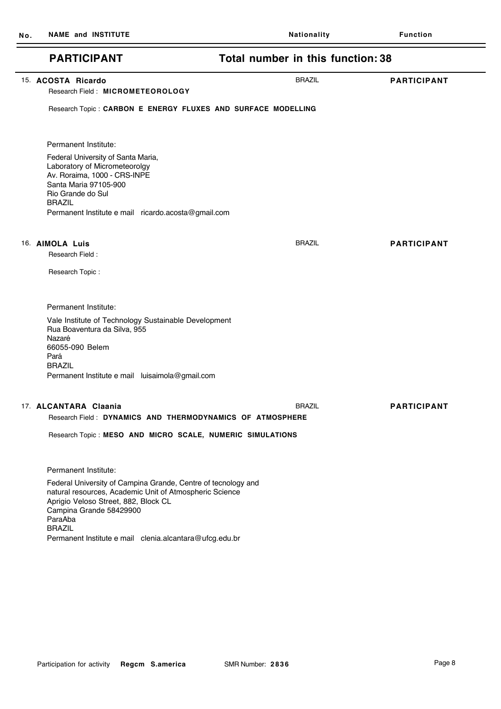$\overline{\phantom{0}}$ 

| <b>PARTICIPANT</b>                                                                                                                                                                                                                                                                                         | Total number in this function: 38                                              |                    |
|------------------------------------------------------------------------------------------------------------------------------------------------------------------------------------------------------------------------------------------------------------------------------------------------------------|--------------------------------------------------------------------------------|--------------------|
| 15. ACOSTA Ricardo<br>Research Field: MICROMETEOROLOGY                                                                                                                                                                                                                                                     | <b>BRAZIL</b><br>Research Topic : CARBON E ENERGY FLUXES AND SURFACE MODELLING | <b>PARTICIPANT</b> |
| Permanent Institute:<br>Federal University of Santa Maria,<br>Laboratory of Micrometeorolgy<br>Av. Roraima, 1000 - CRS-INPE<br>Santa Maria 97105-900<br>Rio Grande do Sul<br><b>BRAZIL</b><br>Permanent Institute e mail ricardo.acosta@gmail.com                                                          |                                                                                |                    |
| 16. AIMOLA Luis<br>Research Field:<br>Research Topic:                                                                                                                                                                                                                                                      | <b>BRAZIL</b>                                                                  | <b>PARTICIPANT</b> |
| Permanent Institute:<br>Vale Institute of Technology Sustainable Development<br>Rua Boaventura da Silva, 955<br>Nazaré<br>66055-090 Belem<br>Pará<br><b>BRAZIL</b><br>Permanent Institute e mail luisaimola@gmail.com                                                                                      |                                                                                |                    |
| 17. ALCANTARA Claania<br>Research Topic: MESO AND MICRO SCALE, NUMERIC SIMULATIONS                                                                                                                                                                                                                         | <b>BRAZIL</b><br>Research Field: DYNAMICS AND THERMODYNAMICS OF ATMOSPHERE     | <b>PARTICIPANT</b> |
| Permanent Institute:<br>Federal University of Campina Grande, Centre of tecnology and<br>natural resources, Academic Unit of Atmospheric Science<br>Aprigio Veloso Street, 882, Block CL<br>Campina Grande 58429900<br>ParaAba<br><b>BRAZIL</b><br>Permanent Institute e mail clenia.alcantara@ufcg.edu.br |                                                                                |                    |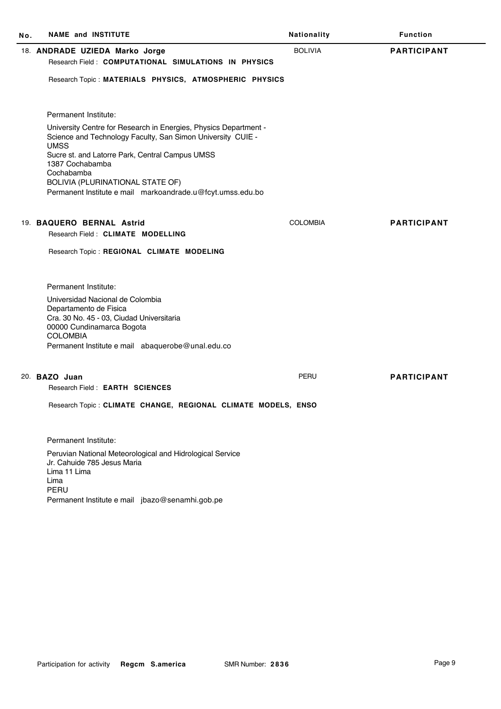| No. | <b>NAME and INSTITUTE</b>                                                                                                                                                                                                                                                                                                            | Nationality     | <b>Function</b>    |
|-----|--------------------------------------------------------------------------------------------------------------------------------------------------------------------------------------------------------------------------------------------------------------------------------------------------------------------------------------|-----------------|--------------------|
|     | 18. ANDRADE UZIEDA Marko Jorge<br>Research Field: COMPUTATIONAL SIMULATIONS IN PHYSICS                                                                                                                                                                                                                                               | <b>BOLIVIA</b>  | <b>PARTICIPANT</b> |
|     | Research Topic: MATERIALS PHYSICS, ATMOSPHERIC PHYSICS                                                                                                                                                                                                                                                                               |                 |                    |
|     | Permanent Institute:                                                                                                                                                                                                                                                                                                                 |                 |                    |
|     | University Centre for Research in Energies, Physics Department -<br>Science and Technology Faculty, San Simon University CUIE -<br><b>UMSS</b><br>Sucre st. and Latorre Park, Central Campus UMSS<br>1387 Cochabamba<br>Cochabamba<br>BOLIVIA (PLURINATIONAL STATE OF)<br>Permanent Institute e mail markoandrade.u@fcyt.umss.edu.bo |                 |                    |
|     |                                                                                                                                                                                                                                                                                                                                      |                 |                    |
|     | 19. BAQUERO BERNAL Astrid<br>Research Field: CLIMATE MODELLING                                                                                                                                                                                                                                                                       | <b>COLOMBIA</b> | <b>PARTICIPANT</b> |
|     |                                                                                                                                                                                                                                                                                                                                      |                 |                    |
|     | Research Topic: REGIONAL CLIMATE MODELING                                                                                                                                                                                                                                                                                            |                 |                    |
|     | Permanent Institute:                                                                                                                                                                                                                                                                                                                 |                 |                    |
|     | Universidad Nacional de Colombia<br>Departamento de Fisica                                                                                                                                                                                                                                                                           |                 |                    |
|     | Cra. 30 No. 45 - 03, Ciudad Universitaria<br>00000 Cundinamarca Bogota                                                                                                                                                                                                                                                               |                 |                    |
|     | <b>COLOMBIA</b>                                                                                                                                                                                                                                                                                                                      |                 |                    |
|     | Permanent Institute e mail abaquerobe@unal.edu.co                                                                                                                                                                                                                                                                                    |                 |                    |
|     | 20. BAZO Juan                                                                                                                                                                                                                                                                                                                        | PERU            | <b>PARTICIPANT</b> |
|     | Research Field: EARTH SCIENCES                                                                                                                                                                                                                                                                                                       |                 |                    |
|     | Research Topic: CLIMATE CHANGE, REGIONAL CLIMATE MODELS, ENSO                                                                                                                                                                                                                                                                        |                 |                    |
|     | Permanent Institute:                                                                                                                                                                                                                                                                                                                 |                 |                    |
|     | Peruvian National Meteorological and Hidrological Service<br>Jr. Cahuide 785 Jesus Maria<br>Lima 11 Lima<br>Lima<br>PERU                                                                                                                                                                                                             |                 |                    |
|     | Permanent Institute e mail jbazo@senamhi.gob.pe                                                                                                                                                                                                                                                                                      |                 |                    |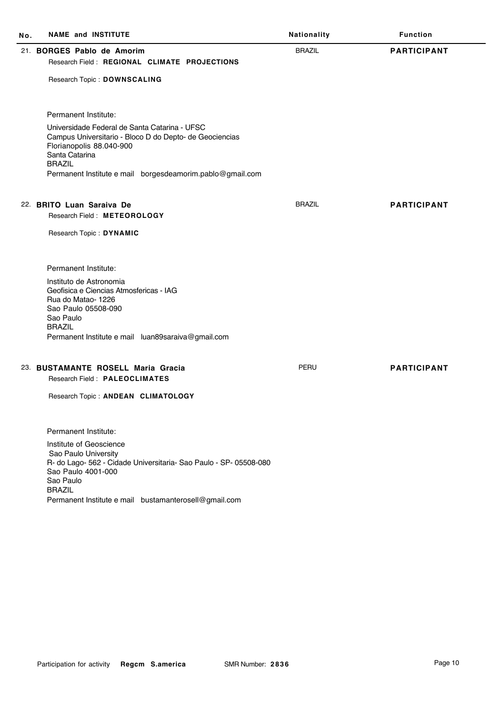| No. | <b>NAME and INSTITUTE</b>                                                                                                                                                | Nationality   | <b>Function</b>    |
|-----|--------------------------------------------------------------------------------------------------------------------------------------------------------------------------|---------------|--------------------|
|     | 21. BORGES Pablo de Amorim                                                                                                                                               | <b>BRAZIL</b> | <b>PARTICIPANT</b> |
|     | Research Field: REGIONAL CLIMATE PROJECTIONS                                                                                                                             |               |                    |
|     | Research Topic: DOWNSCALING                                                                                                                                              |               |                    |
|     | Permanent Institute:                                                                                                                                                     |               |                    |
|     | Universidade Federal de Santa Catarina - UFSC<br>Campus Universitario - Bloco D do Depto- de Geociencias<br>Florianopolis 88.040-900<br>Santa Catarina<br><b>BRAZIL</b>  |               |                    |
|     | Permanent Institute e mail borgesdeamorim.pablo@gmail.com                                                                                                                |               |                    |
|     | 22. BRITO Luan Saraiva De<br>Research Field: METEOROLOGY                                                                                                                 | <b>BRAZIL</b> | <b>PARTICIPANT</b> |
|     | Research Topic: DYNAMIC                                                                                                                                                  |               |                    |
|     | Permanent Institute:                                                                                                                                                     |               |                    |
|     | Instituto de Astronomia<br>Geofisica e Ciencias Atmosfericas - IAG<br>Rua do Matao-1226<br>Sao Paulo 05508-090<br>Sao Paulo<br><b>BRAZIL</b>                             |               |                    |
|     | Permanent Institute e mail luan89saraiva@gmail.com                                                                                                                       |               |                    |
|     | 23. BUSTAMANTE ROSELL Maria Gracia                                                                                                                                       | PERU          | <b>PARTICIPANT</b> |
|     | Research Field: PALEOCLIMATES                                                                                                                                            |               |                    |
|     | Research Topic: ANDEAN CLIMATOLOGY                                                                                                                                       |               |                    |
|     | Permanent Institute:                                                                                                                                                     |               |                    |
|     | Institute of Geoscience<br>Sao Paulo University<br>R- do Lago- 562 - Cidade Universitaria- Sao Paulo - SP- 05508-080<br>Sao Paulo 4001-000<br>Sao Paulo<br><b>BRAZIL</b> |               |                    |
|     | Permanent Institute e mail bustamanterosell@gmail.com                                                                                                                    |               |                    |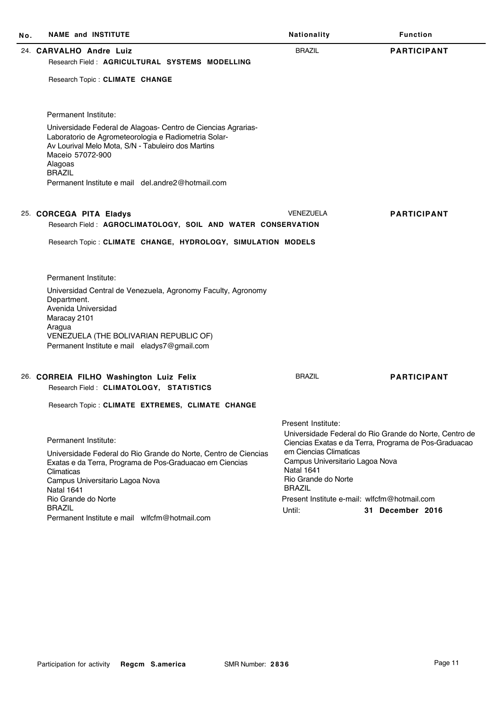| Nο. | <b>NAME and INSTITUTE</b>                                                                                                                                                                                                                                                        | Nationality                                                                                                            | <b>Function</b>                                                                                                 |
|-----|----------------------------------------------------------------------------------------------------------------------------------------------------------------------------------------------------------------------------------------------------------------------------------|------------------------------------------------------------------------------------------------------------------------|-----------------------------------------------------------------------------------------------------------------|
|     | 24. CARVALHO Andre Luiz<br>Research Field: AGRICULTURAL SYSTEMS MODELLING                                                                                                                                                                                                        | <b>BRAZIL</b>                                                                                                          | <b>PARTICIPANT</b>                                                                                              |
|     |                                                                                                                                                                                                                                                                                  |                                                                                                                        |                                                                                                                 |
|     | Research Topic: CLIMATE CHANGE                                                                                                                                                                                                                                                   |                                                                                                                        |                                                                                                                 |
|     | Permanent Institute:                                                                                                                                                                                                                                                             |                                                                                                                        |                                                                                                                 |
|     | Universidade Federal de Alagoas- Centro de Ciencias Agrarias-<br>Laboratorio de Agrometeorologia e Radiometria Solar-<br>Av Lourival Melo Mota, S/N - Tabuleiro dos Martins<br>Maceio 57072-900<br>Alagoas<br><b>BRAZIL</b><br>Permanent Institute e mail del.andre2@hotmail.com |                                                                                                                        |                                                                                                                 |
|     |                                                                                                                                                                                                                                                                                  |                                                                                                                        |                                                                                                                 |
|     | 25. CORCEGA PITA Eladys<br>Research Field: AGROCLIMATOLOGY, SOIL AND WATER CONSERVATION                                                                                                                                                                                          | <b>VENEZUELA</b>                                                                                                       | <b>PARTICIPANT</b>                                                                                              |
|     | Research Topic: CLIMATE CHANGE, HYDROLOGY, SIMULATION MODELS                                                                                                                                                                                                                     |                                                                                                                        |                                                                                                                 |
|     |                                                                                                                                                                                                                                                                                  |                                                                                                                        |                                                                                                                 |
|     | Permanent Institute:                                                                                                                                                                                                                                                             |                                                                                                                        |                                                                                                                 |
|     | Universidad Central de Venezuela, Agronomy Faculty, Agronomy<br>Department.<br>Avenida Universidad<br>Maracay 2101                                                                                                                                                               |                                                                                                                        |                                                                                                                 |
|     | Aragua<br>VENEZUELA (THE BOLIVARIAN REPUBLIC OF)<br>Permanent Institute e mail eladys7@gmail.com                                                                                                                                                                                 |                                                                                                                        |                                                                                                                 |
|     | 26. CORREIA FILHO Washington Luiz Felix                                                                                                                                                                                                                                          | <b>BRAZIL</b>                                                                                                          | <b>PARTICIPANT</b>                                                                                              |
|     | Research Field: CLIMATOLOGY, STATISTICS                                                                                                                                                                                                                                          |                                                                                                                        |                                                                                                                 |
|     | Research Topic: CLIMATE EXTREMES, CLIMATE CHANGE                                                                                                                                                                                                                                 |                                                                                                                        |                                                                                                                 |
|     |                                                                                                                                                                                                                                                                                  | Present Institute:                                                                                                     |                                                                                                                 |
|     | Permanent Institute:                                                                                                                                                                                                                                                             |                                                                                                                        | Universidade Federal do Rio Grande do Norte, Centro de<br>Ciencias Exatas e da Terra, Programa de Pos-Graduacao |
|     | Universidade Federal do Rio Grande do Norte, Centro de Ciencias<br>Exatas e da Terra, Programa de Pos-Graduacao em Ciencias<br>Climaticas<br>Campus Universitario Lagoa Nova<br><b>Natal 1641</b>                                                                                | em Ciencias Climaticas<br>Campus Universitario Lagoa Nova<br><b>Natal 1641</b><br>Rio Grande do Norte<br><b>BRAZIL</b> |                                                                                                                 |
|     | Rio Grande do Norte<br><b>BRAZIL</b>                                                                                                                                                                                                                                             | Present Institute e-mail: wlfcfm@hotmail.com                                                                           |                                                                                                                 |
|     | Permanent Institute e mail wlfcfm@hotmail.com                                                                                                                                                                                                                                    | Until:                                                                                                                 | 31 December 2016                                                                                                |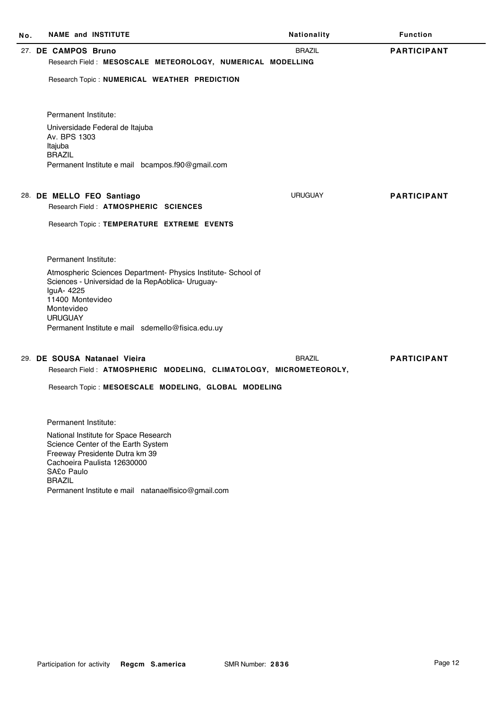| No. | <b>NAME and INSTITUTE</b>                                                                                                                                                                                                                                                                    | Nationality    | <b>Function</b>    |
|-----|----------------------------------------------------------------------------------------------------------------------------------------------------------------------------------------------------------------------------------------------------------------------------------------------|----------------|--------------------|
|     | 27. DE CAMPOS Bruno<br>Research Field: MESOSCALE METEOROLOGY, NUMERICAL MODELLING<br>Research Topic: NUMERICAL WEATHER PREDICTION<br>Permanent Institute:<br>Universidade Federal de Itajuba<br>Av. BPS 1303<br>Itajuba<br><b>BRAZIL</b><br>Permanent Institute e mail bcampos.f90@gmail.com | <b>BRAZIL</b>  | <b>PARTICIPANT</b> |
|     | 28. DE MELLO FEO Santiago<br>Research Field: ATMOSPHERIC SCIENCES<br>Research Topic: TEMPERATURE EXTREME EVENTS                                                                                                                                                                              | <b>URUGUAY</b> | <b>PARTICIPANT</b> |
|     | Permanent Institute:<br>Atmospheric Sciences Department- Physics Institute- School of<br>Sciences - Universidad de la RepAoblica- Uruguay-<br>IguA- 4225<br>11400 Montevideo<br>Montevideo<br><b>URUGUAY</b><br>Permanent Institute e mail sdemello@fisica.edu.uy                            |                |                    |
|     | 29. DE SOUSA Natanael Vieira<br>Research Field: ATMOSPHERIC MODELING, CLIMATOLOGY, MICROMETEOROLY,<br>Research Topic: MESOESCALE MODELING, GLOBAL MODELING                                                                                                                                   | <b>BRAZIL</b>  | <b>PARTICIPANT</b> |
|     | Permanent Institute:<br>National Institute for Space Research<br>Science Center of the Earth System<br>Freeway Presidente Dutra km 39<br>Cachoeira Paulista 12630000<br>SA£o Paulo<br><b>BRAZIL</b>                                                                                          |                |                    |

Permanent Institute e mail natanaelfisico@gmail.com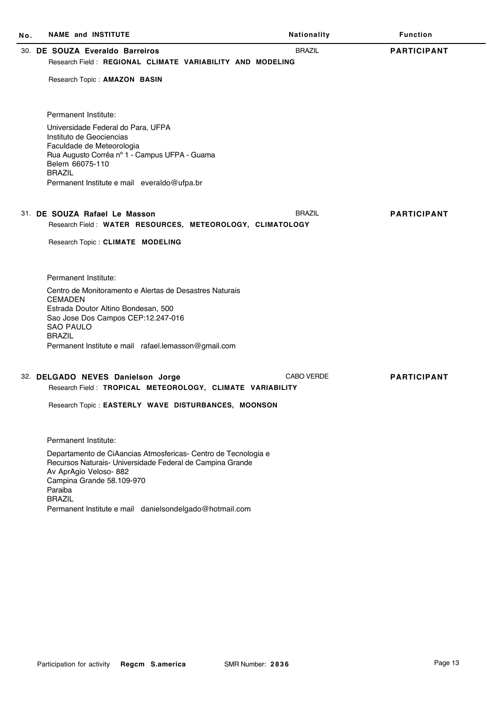| No. | <b>NAME and INSTITUTE</b>                                                                                                                                                          | Nationality       | <b>Function</b>    |
|-----|------------------------------------------------------------------------------------------------------------------------------------------------------------------------------------|-------------------|--------------------|
|     | 30. DE SOUZA Everaldo Barreiros                                                                                                                                                    | <b>BRAZIL</b>     | <b>PARTICIPANT</b> |
|     | Research Field: REGIONAL CLIMATE VARIABILITY AND MODELING                                                                                                                          |                   |                    |
|     | Research Topic: AMAZON BASIN                                                                                                                                                       |                   |                    |
|     | Permanent Institute:                                                                                                                                                               |                   |                    |
|     | Universidade Federal do Para, UFPA                                                                                                                                                 |                   |                    |
|     | Instituto de Geociencias                                                                                                                                                           |                   |                    |
|     | Faculdade de Meteorologia<br>Rua Augusto Corrêa nº 1 - Campus UFPA - Guama                                                                                                         |                   |                    |
|     | Belem 66075-110                                                                                                                                                                    |                   |                    |
|     | <b>BRAZIL</b><br>Permanent Institute e mail everaldo@ufpa.br                                                                                                                       |                   |                    |
|     |                                                                                                                                                                                    |                   |                    |
|     | 31. DE SOUZA Rafael Le Masson                                                                                                                                                      | <b>BRAZIL</b>     | <b>PARTICIPANT</b> |
|     | Research Field: WATER RESOURCES, METEOROLOGY, CLIMATOLOGY                                                                                                                          |                   |                    |
|     | Research Topic: CLIMATE MODELING                                                                                                                                                   |                   |                    |
|     |                                                                                                                                                                                    |                   |                    |
|     |                                                                                                                                                                                    |                   |                    |
|     | Permanent Institute:                                                                                                                                                               |                   |                    |
|     | Centro de Monitoramento e Alertas de Desastres Naturais<br><b>CEMADEN</b>                                                                                                          |                   |                    |
|     | Estrada Doutor Altino Bondesan, 500                                                                                                                                                |                   |                    |
|     | Sao Jose Dos Campos CEP:12.247-016<br><b>SAO PAULO</b>                                                                                                                             |                   |                    |
|     | <b>BRAZIL</b>                                                                                                                                                                      |                   |                    |
|     | Permanent Institute e mail rafael.lemasson@gmail.com                                                                                                                               |                   |                    |
|     |                                                                                                                                                                                    |                   |                    |
|     | 32. DELGADO NEVES Danielson Jorge<br>Research Field: TROPICAL METEOROLOGY, CLIMATE VARIABILITY                                                                                     | <b>CABO VERDE</b> | <b>PARTICIPANT</b> |
|     |                                                                                                                                                                                    |                   |                    |
|     | Research Topic: EASTERLY WAVE DISTURBANCES, MOONSON                                                                                                                                |                   |                    |
|     |                                                                                                                                                                                    |                   |                    |
|     | Permanent Institute:                                                                                                                                                               |                   |                    |
|     | Departamento de CiAancias Atmosfericas- Centro de Tecnologia e<br>Recursos Naturais- Universidade Federal de Campina Grande<br>Av AprAgio Veloso- 882<br>Campina Grande 58.109-970 |                   |                    |
|     | Paraiba<br><b>BRAZIL</b>                                                                                                                                                           |                   |                    |

Permanent Institute e mail danielsondelgado@hotmail.com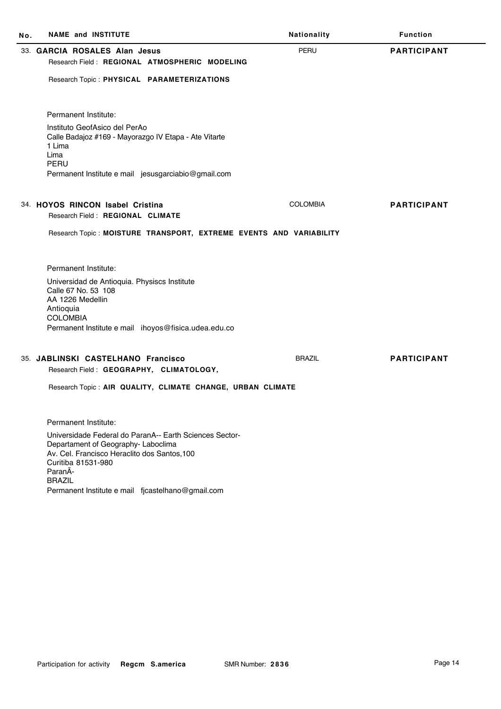| <b>NAME and INSTITUTE</b><br>No.                                                    | Nationality                                                        | <b>Function</b>    |
|-------------------------------------------------------------------------------------|--------------------------------------------------------------------|--------------------|
| 33. GARCIA ROSALES Alan Jesus                                                       | <b>PERU</b>                                                        | <b>PARTICIPANT</b> |
| Research Field: REGIONAL ATMOSPHERIC MODELING                                       |                                                                    |                    |
| Research Topic: PHYSICAL PARAMETERIZATIONS                                          |                                                                    |                    |
|                                                                                     |                                                                    |                    |
| Permanent Institute:                                                                |                                                                    |                    |
| Instituto GeofAsico del PerAo                                                       |                                                                    |                    |
| Calle Badajoz #169 - Mayorazgo IV Etapa - Ate Vitarte<br>1 Lima                     |                                                                    |                    |
| Lima                                                                                |                                                                    |                    |
| PERU<br>Permanent Institute e mail jesusgarciabio@gmail.com                         |                                                                    |                    |
|                                                                                     |                                                                    |                    |
| 34. HOYOS RINCON Isabel Cristina                                                    | <b>COLOMBIA</b>                                                    | <b>PARTICIPANT</b> |
| Research Field: REGIONAL CLIMATE                                                    |                                                                    |                    |
|                                                                                     | Research Topic: MOISTURE TRANSPORT, EXTREME EVENTS AND VARIABILITY |                    |
|                                                                                     |                                                                    |                    |
|                                                                                     |                                                                    |                    |
| Permanent Institute:                                                                |                                                                    |                    |
| Universidad de Antioquia. Physiscs Institute<br>Calle 67 No. 53 108                 |                                                                    |                    |
| AA 1226 Medellin                                                                    |                                                                    |                    |
| Antioquia<br><b>COLOMBIA</b>                                                        |                                                                    |                    |
| Permanent Institute e mail ihoyos@fisica.udea.edu.co                                |                                                                    |                    |
|                                                                                     |                                                                    |                    |
| 35. JABLINSKI CASTELHANO Francisco                                                  | <b>BRAZIL</b>                                                      | <b>PARTICIPANT</b> |
| Research Field: GEOGRAPHY, CLIMATOLOGY,                                             |                                                                    |                    |
| Research Topic: AIR QUALITY, CLIMATE CHANGE, URBAN CLIMATE                          |                                                                    |                    |
|                                                                                     |                                                                    |                    |
| Permanent Institute:                                                                |                                                                    |                    |
| Universidade Federal do ParanA-- Earth Sciences Sector-                             |                                                                    |                    |
| Departament of Geography- Laboclima<br>Av. Cel. Francisco Heraclito dos Santos, 100 |                                                                    |                    |
| Curitiba 81531-980                                                                  |                                                                    |                    |
| ParanÃ-<br><b>BRAZIL</b>                                                            |                                                                    |                    |
| Permanent Institute e mail fjcastelhano@gmail.com                                   |                                                                    |                    |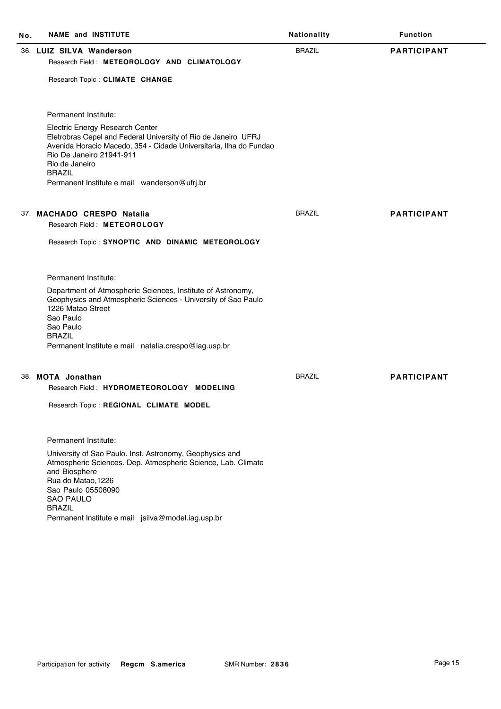| No. | <b>NAME and INSTITUTE</b>                                                                                                                                                                                                              | Nationality   | <b>Function</b>    |
|-----|----------------------------------------------------------------------------------------------------------------------------------------------------------------------------------------------------------------------------------------|---------------|--------------------|
|     | 36. LUIZ SILVA Wanderson<br>Research Field: METEOROLOGY AND CLIMATOLOGY<br>Research Topic: CLIMATE CHANGE                                                                                                                              | <b>BRAZIL</b> | <b>PARTICIPANT</b> |
|     |                                                                                                                                                                                                                                        |               |                    |
|     | Permanent Institute:                                                                                                                                                                                                                   |               |                    |
|     | Electric Energy Research Center<br>Eletrobras Cepel and Federal University of Rio de Janeiro UFRJ<br>Avenida Horacio Macedo, 354 - Cidade Universitaria, Ilha do Fundao<br>Rio De Janeiro 21941-911<br>Rio de Janeiro<br><b>BRAZIL</b> |               |                    |
|     | Permanent Institute e mail wanderson@ufrj.br                                                                                                                                                                                           |               |                    |
|     |                                                                                                                                                                                                                                        |               |                    |
|     | 37. MACHADO CRESPO Natalia                                                                                                                                                                                                             | <b>BRAZIL</b> | <b>PARTICIPANT</b> |
|     | Research Field: METEOROLOGY                                                                                                                                                                                                            |               |                    |
|     | Research Topic: SYNOPTIC AND DINAMIC METEOROLOGY                                                                                                                                                                                       |               |                    |
|     | Permanent Institute:                                                                                                                                                                                                                   |               |                    |
|     | Department of Atmospheric Sciences, Institute of Astronomy,<br>Geophysics and Atmospheric Sciences - University of Sao Paulo<br>1226 Matao Street<br>Sao Paulo<br>Sao Paulo<br><b>BRAZIL</b>                                           |               |                    |
|     | Permanent Institute e mail natalia.crespo@iag.usp.br                                                                                                                                                                                   |               |                    |
|     |                                                                                                                                                                                                                                        |               |                    |
|     | 38. MOTA Jonathan                                                                                                                                                                                                                      | <b>BRAZIL</b> | <b>PARTICIPANT</b> |
|     | Research Field: HYDROMETEOROLOGY MODELING                                                                                                                                                                                              |               |                    |
|     | Research Topic: REGIONAL CLIMATE MODEL                                                                                                                                                                                                 |               |                    |
|     | Permanent Institute:                                                                                                                                                                                                                   |               |                    |
|     | University of Sao Paulo. Inst. Astronomy, Geophysics and<br>Atmospheric Sciences. Dep. Atmospheric Science, Lab. Climate<br>and Biosphere<br>Rua do Matao, 1226<br>Sao Paulo 05508090<br><b>SAO PAULO</b><br><b>BRAZIL</b>             |               |                    |
|     | Permanent Institute e mail jsilva@model.iag.usp.br                                                                                                                                                                                     |               |                    |
|     |                                                                                                                                                                                                                                        |               |                    |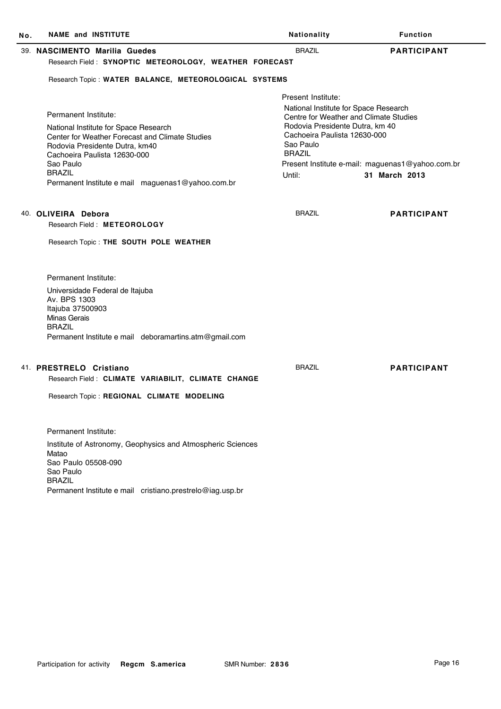| Νo. | <b>NAME and INSTITUTE</b>                                                         | Nationality                                                                     | <b>Function</b>                                                   |
|-----|-----------------------------------------------------------------------------------|---------------------------------------------------------------------------------|-------------------------------------------------------------------|
|     | 39. NASCIMENTO Marilia Guedes                                                     | <b>BRAZIL</b>                                                                   | <b>PARTICIPANT</b>                                                |
|     | Research Field: SYNOPTIC METEOROLOGY, WEATHER FORECAST                            |                                                                                 |                                                                   |
|     | Research Topic: WATER BALANCE, METEOROLOGICAL SYSTEMS                             |                                                                                 |                                                                   |
|     |                                                                                   | Present Institute:                                                              |                                                                   |
|     | Permanent Institute:                                                              | National Institute for Space Research<br>Centre for Weather and Climate Studies |                                                                   |
|     | National Institute for Space Research                                             | Rodovia Presidente Dutra, km 40                                                 |                                                                   |
|     | Center for Weather Forecast and Climate Studies<br>Rodovia Presidente Dutra, km40 | Cachoeira Paulista 12630-000<br>Sao Paulo                                       |                                                                   |
|     | Cachoeira Paulista 12630-000                                                      | <b>BRAZIL</b>                                                                   |                                                                   |
|     | Sao Paulo<br><b>BRAZIL</b>                                                        | Until:                                                                          | Present Institute e-mail: maguenas1@yahoo.com.br<br>31 March 2013 |
|     | Permanent Institute e mail maguenas1@yahoo.com.br                                 |                                                                                 |                                                                   |
|     | 40. OLIVEIRA Debora                                                               | <b>BRAZIL</b>                                                                   | <b>PARTICIPANT</b>                                                |
|     | Research Field: METEOROLOGY                                                       |                                                                                 |                                                                   |
|     | Research Topic: THE SOUTH POLE WEATHER                                            |                                                                                 |                                                                   |
|     | Permanent Institute:                                                              |                                                                                 |                                                                   |
|     | Universidade Federal de Itajuba<br>Av. BPS 1303                                   |                                                                                 |                                                                   |
|     | Itajuba 37500903                                                                  |                                                                                 |                                                                   |
|     | <b>Minas Gerais</b><br><b>BRAZIL</b>                                              |                                                                                 |                                                                   |
|     | Permanent Institute e mail deboramartins.atm@gmail.com                            |                                                                                 |                                                                   |
|     | 41. PRESTRELO Cristiano                                                           | <b>BRAZIL</b>                                                                   | <b>PARTICIPANT</b>                                                |
|     | Research Field: CLIMATE VARIABILIT, CLIMATE CHANGE                                |                                                                                 |                                                                   |
|     | Research Topic: REGIONAL CLIMATE MODELING                                         |                                                                                 |                                                                   |
|     | Permanent Institute:                                                              |                                                                                 |                                                                   |
|     | Institute of Astronomy, Geophysics and Atmospheric Sciences                       |                                                                                 |                                                                   |
|     | Matao<br>Sao Paulo 05508-090                                                      |                                                                                 |                                                                   |
|     | Sao Paulo                                                                         |                                                                                 |                                                                   |
|     | <b>BRAZIL</b><br>Permanent Institute e mail cristiano.prestrelo@iag.usp.br        |                                                                                 |                                                                   |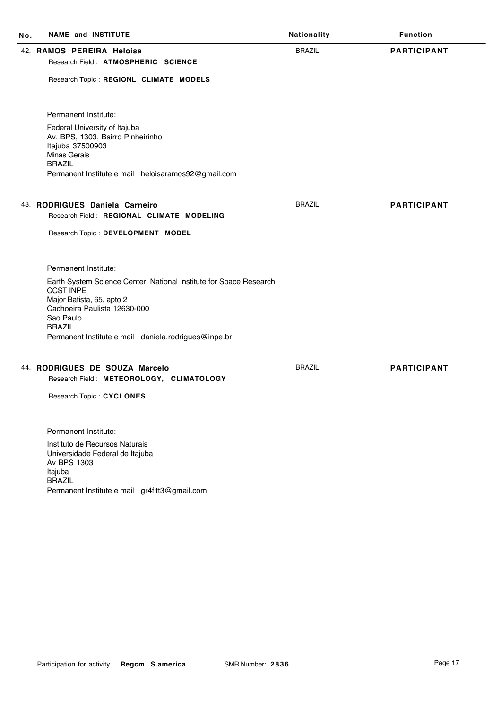| No. | <b>NAME and INSTITUTE</b>                                                                                                                                        | Nationality   | <b>Function</b>    |
|-----|------------------------------------------------------------------------------------------------------------------------------------------------------------------|---------------|--------------------|
|     | 42. RAMOS PEREIRA Heloisa<br>Research Field: ATMOSPHERIC SCIENCE                                                                                                 | <b>BRAZIL</b> | <b>PARTICIPANT</b> |
|     | Research Topic: REGIONL CLIMATE MODELS                                                                                                                           |               |                    |
|     | Permanent Institute:                                                                                                                                             |               |                    |
|     | Federal University of Itajuba<br>Av. BPS, 1303, Bairro Pinheirinho<br>Itajuba 37500903<br><b>Minas Gerais</b><br><b>BRAZIL</b>                                   |               |                    |
|     | Permanent Institute e mail heloisaramos92@gmail.com                                                                                                              |               |                    |
|     | 43. RODRIGUES Daniela Carneiro                                                                                                                                   | <b>BRAZIL</b> | <b>PARTICIPANT</b> |
|     | Research Field: REGIONAL CLIMATE MODELING                                                                                                                        |               |                    |
|     | Research Topic: DEVELOPMENT MODEL                                                                                                                                |               |                    |
|     | Permanent Institute:                                                                                                                                             |               |                    |
|     | Earth System Science Center, National Institute for Space Research<br><b>CCST INPE</b><br>Major Batista, 65, apto 2<br>Cachoeira Paulista 12630-000<br>Sao Paulo |               |                    |
|     | <b>BRAZIL</b><br>Permanent Institute e mail daniela.rodrigues@inpe.br                                                                                            |               |                    |
|     |                                                                                                                                                                  |               |                    |
|     | 44. RODRIGUES DE SOUZA Marcelo<br>Research Field: METEOROLOGY, CLIMATOLOGY                                                                                       | <b>BRAZIL</b> | <b>PARTICIPANT</b> |
|     | Research Topic: CYCLONES                                                                                                                                         |               |                    |
|     |                                                                                                                                                                  |               |                    |
|     | Permanent Institute:                                                                                                                                             |               |                    |
|     | Instituto de Recursos Naturais<br>Universidade Federal de Itajuba<br>Av BPS 1303<br>Itajuba<br><b>BRAZIL</b>                                                     |               |                    |

Permanent Institute e mail gr4fitt3@gmail.com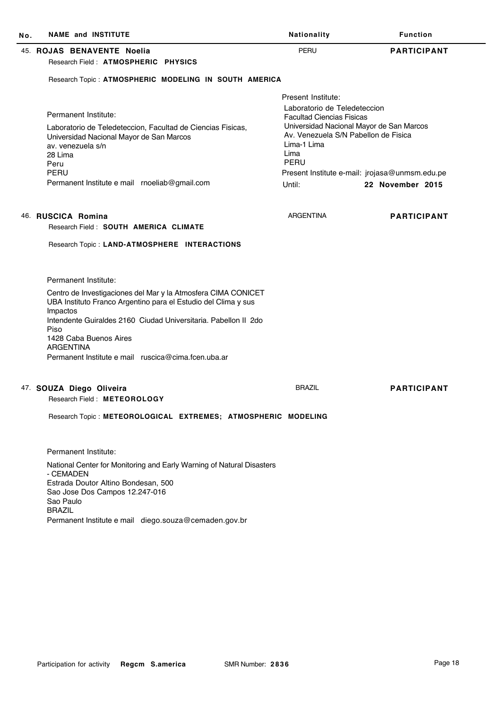| No. | <b>NAME and INSTITUTE</b>                                                                                                                       | Nationality                                                                                                     | <b>Function</b>                                |  |
|-----|-------------------------------------------------------------------------------------------------------------------------------------------------|-----------------------------------------------------------------------------------------------------------------|------------------------------------------------|--|
|     | 45. ROJAS BENAVENTE Noelia                                                                                                                      | PERU                                                                                                            | <b>PARTICIPANT</b>                             |  |
|     | Research Field: ATMOSPHERIC PHYSICS                                                                                                             |                                                                                                                 |                                                |  |
|     | Research Topic: ATMOSPHERIC MODELING IN SOUTH AMERICA                                                                                           |                                                                                                                 |                                                |  |
|     |                                                                                                                                                 | Present Institute:                                                                                              |                                                |  |
|     | Permanent Institute:                                                                                                                            | Laboratorio de Teledeteccion<br><b>Facultad Ciencias Fisicas</b>                                                |                                                |  |
|     | Laboratorio de Teledeteccion, Facultad de Ciencias Fisicas,<br>Universidad Nacional Mayor de San Marcos<br>av. venezuela s/n<br>28 Lima<br>Peru | Universidad Nacional Mayor de San Marcos<br>Av. Venezuela S/N Pabellon de Fisica<br>Lima-1 Lima<br>Lima<br>PERU |                                                |  |
|     | PERU                                                                                                                                            |                                                                                                                 | Present Institute e-mail: jrojasa@unmsm.edu.pe |  |
|     | Permanent Institute e mail rnoeliab@gmail.com                                                                                                   | Until:                                                                                                          | 22 November 2015                               |  |
|     |                                                                                                                                                 |                                                                                                                 |                                                |  |
|     | 46. RUSCICA Romina                                                                                                                              | <b>ARGENTINA</b>                                                                                                | <b>PARTICIPANT</b>                             |  |
|     | Research Field: SOUTH AMERICA CLIMATE                                                                                                           |                                                                                                                 |                                                |  |
|     | Research Topic: LAND-ATMOSPHERE INTERACTIONS                                                                                                    |                                                                                                                 |                                                |  |
|     | Permanent Institute:                                                                                                                            |                                                                                                                 |                                                |  |
|     | Centro de Investigaciones del Mar y la Atmosfera CIMA CONICET<br>UBA Instituto Franco Argentino para el Estudio del Clima y sus<br>Impactos     |                                                                                                                 |                                                |  |
|     | Intendente Guiraldes 2160 Ciudad Universitaria. Pabellon II 2do<br>Piso                                                                         |                                                                                                                 |                                                |  |
|     | 1428 Caba Buenos Aires<br><b>ARGENTINA</b>                                                                                                      |                                                                                                                 |                                                |  |
|     | Permanent Institute e mail ruscica@cima.fcen.uba.ar                                                                                             |                                                                                                                 |                                                |  |
|     | 47. SOUZA Diego Oliveira                                                                                                                        | <b>BRAZIL</b>                                                                                                   | <b>PARTICIPANT</b>                             |  |
|     | Research Field: METEOROLOGY                                                                                                                     |                                                                                                                 |                                                |  |
|     | Research Topic: METEOROLOGICAL EXTREMES; ATMOSPHERIC MODELING                                                                                   |                                                                                                                 |                                                |  |
|     | Permanent Institute:                                                                                                                            |                                                                                                                 |                                                |  |
|     | National Center for Monitoring and Early Warning of Natural Disasters                                                                           |                                                                                                                 |                                                |  |
|     | - CEMADEN<br>Estrada Doutor Altino Bondesan, 500<br>Sao Jose Dos Campos 12.247-016                                                              |                                                                                                                 |                                                |  |
|     | Sao Paulo<br><b>BRAZIL</b>                                                                                                                      |                                                                                                                 |                                                |  |

Permanent Institute e mail diego.souza@cemaden.gov.br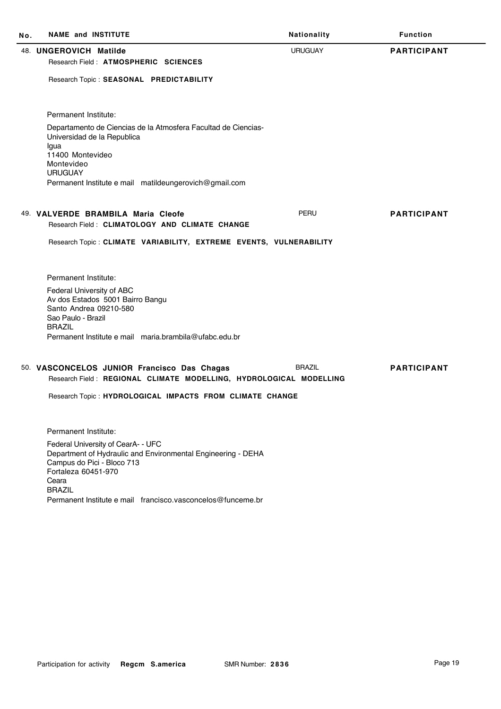| No. | <b>NAME and INSTITUTE</b>                                                                                                                                                         | Nationality    | <b>Function</b>    |
|-----|-----------------------------------------------------------------------------------------------------------------------------------------------------------------------------------|----------------|--------------------|
|     | 48. UNGEROVICH Matilde<br>Research Field: ATMOSPHERIC SCIENCES                                                                                                                    | <b>URUGUAY</b> | <b>PARTICIPANT</b> |
|     | Research Topic: SEASONAL PREDICTABILITY                                                                                                                                           |                |                    |
|     | Permanent Institute:                                                                                                                                                              |                |                    |
|     | Departamento de Ciencias de la Atmosfera Facultad de Ciencias-<br>Universidad de la Republica<br>Igua<br>11400 Montevideo                                                         |                |                    |
|     | Montevideo                                                                                                                                                                        |                |                    |
|     | <b>URUGUAY</b><br>Permanent Institute e mail matildeungerovich@gmail.com                                                                                                          |                |                    |
|     | 49. VALVERDE BRAMBILA Maria Cleofe                                                                                                                                                | <b>PERU</b>    | <b>PARTICIPANT</b> |
|     | Research Field: CLIMATOLOGY AND CLIMATE CHANGE                                                                                                                                    |                |                    |
|     | Research Topic: CLIMATE VARIABILITY, EXTREME EVENTS, VULNERABILITY                                                                                                                |                |                    |
|     | Permanent Institute:                                                                                                                                                              |                |                    |
|     | Federal University of ABC<br>Av dos Estados 5001 Bairro Bangu<br>Santo Andrea 09210-580<br>Sao Paulo - Brazil<br><b>BRAZIL</b>                                                    |                |                    |
|     | Permanent Institute e mail maria.brambila@ufabc.edu.br                                                                                                                            |                |                    |
|     | 50. VASCONCELOS JUNIOR Francisco Das Chagas<br>Research Field: REGIONAL CLIMATE MODELLING, HYDROLOGICAL MODELLING                                                                 | <b>BRAZIL</b>  | <b>PARTICIPANT</b> |
|     | Research Topic: HYDROLOGICAL IMPACTS FROM CLIMATE CHANGE                                                                                                                          |                |                    |
|     | Permanent Institute:                                                                                                                                                              |                |                    |
|     | Federal University of CearA- - UFC<br>Department of Hydraulic and Environmental Engineering - DEHA<br>Campus do Pici - Bloco 713<br>Fortaleza 60451-970<br>Ceara<br><b>BRAZIL</b> |                |                    |
|     | Permanent Institute e mail francisco, vasconcelos@funceme.br                                                                                                                      |                |                    |
|     |                                                                                                                                                                                   |                |                    |